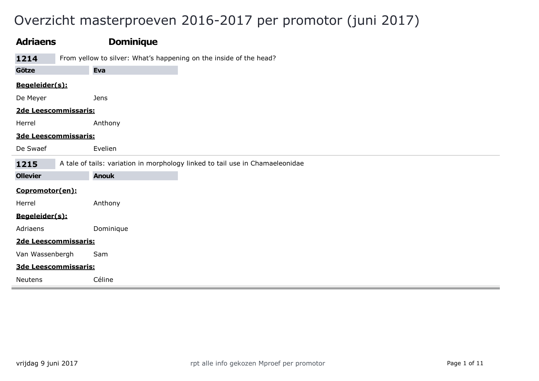# Overzicht masterproeven 2016-2017 per promotor (juni 2017)

| <b>Adriaens</b>      | <b>Dominique</b>                                                              |
|----------------------|-------------------------------------------------------------------------------|
| 1214                 | From yellow to silver: What's happening on the inside of the head?            |
| Götze                | Eva                                                                           |
| Begeleider(s):       |                                                                               |
| De Meyer             | <b>Jens</b>                                                                   |
| 2de Leescommissaris: |                                                                               |
| Herrel               | Anthony                                                                       |
| 3de Leescommissaris: |                                                                               |
| De Swaef             | Evelien                                                                       |
| 1215                 | A tale of tails: variation in morphology linked to tail use in Chamaeleonidae |
| <b>Ollevier</b>      | <b>Anouk</b>                                                                  |
| Copromotor(en):      |                                                                               |
| Herrel               | Anthony                                                                       |
| Begeleider(s):       |                                                                               |
| Adriaens             | Dominique                                                                     |
| 2de Leescommissaris: |                                                                               |
| Van Wassenbergh      | Sam                                                                           |
| 3de Leescommissaris: |                                                                               |
| Neutens              | Céline                                                                        |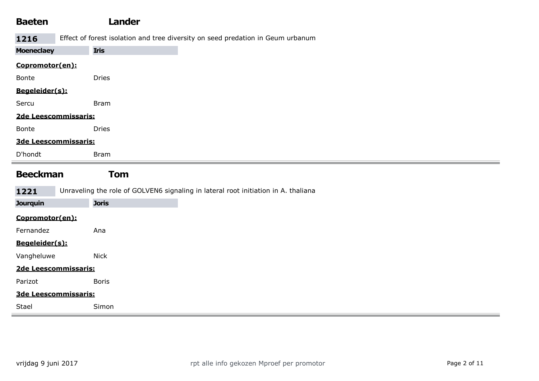| <b>Baeten</b>        | <b>Lander</b>                                                                      |
|----------------------|------------------------------------------------------------------------------------|
| 1216                 | Effect of forest isolation and tree diversity on seed predation in Geum urbanum    |
| <b>Moeneclaey</b>    | <b>Iris</b>                                                                        |
| Copromotor(en):      |                                                                                    |
| Bonte                | <b>Dries</b>                                                                       |
| Begeleider(s):       |                                                                                    |
| Sercu                | <b>Bram</b>                                                                        |
| 2de Leescommissaris: |                                                                                    |
| Bonte                | <b>Dries</b>                                                                       |
| 3de Leescommissaris: |                                                                                    |
| D'hondt              | <b>Bram</b>                                                                        |
|                      |                                                                                    |
| <b>Beeckman</b>      | <b>Tom</b>                                                                         |
| 1221                 | Unraveling the role of GOLVEN6 signaling in lateral root initiation in A. thaliana |
| <b>Jourquin</b>      | <b>Joris</b>                                                                       |
| Copromotor(en):      |                                                                                    |
| Fernandez            | Ana                                                                                |
| Begeleider(s):       |                                                                                    |
| Vangheluwe           | <b>Nick</b>                                                                        |
| 2de Leescommissaris: |                                                                                    |
| Parizot              | <b>Boris</b>                                                                       |
| 3de Leescommissaris: |                                                                                    |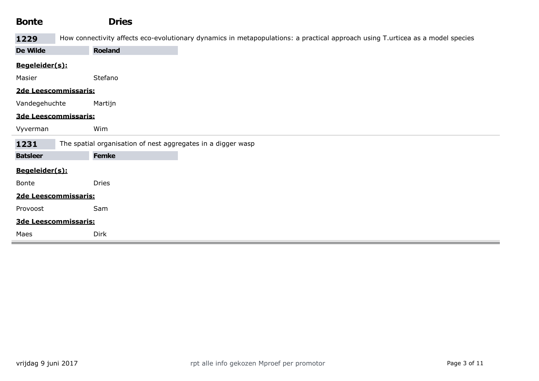| <b>Bonte</b>         | <b>Dries</b>                                                                                                                   |
|----------------------|--------------------------------------------------------------------------------------------------------------------------------|
| 1229                 | How connectivity affects eco-evolutionary dynamics in metapopulations: a practical approach using T.urticea as a model species |
| De Wilde             | <b>Roeland</b>                                                                                                                 |
| Begeleider(s):       |                                                                                                                                |
| Masier               | Stefano                                                                                                                        |
| 2de Leescommissaris: |                                                                                                                                |
| Vandegehuchte        | Martijn                                                                                                                        |
| 3de Leescommissaris: |                                                                                                                                |
| Vyverman             | Wim                                                                                                                            |
| 1231                 | The spatial organisation of nest aggregates in a digger wasp                                                                   |
| <b>Batsleer</b>      | <b>Femke</b>                                                                                                                   |
| Begeleider(s):       |                                                                                                                                |
| Bonte                | <b>Dries</b>                                                                                                                   |
| 2de Leescommissaris: |                                                                                                                                |
| Provoost             | Sam                                                                                                                            |
| 3de Leescommissaris: |                                                                                                                                |
| Maes                 | Dirk                                                                                                                           |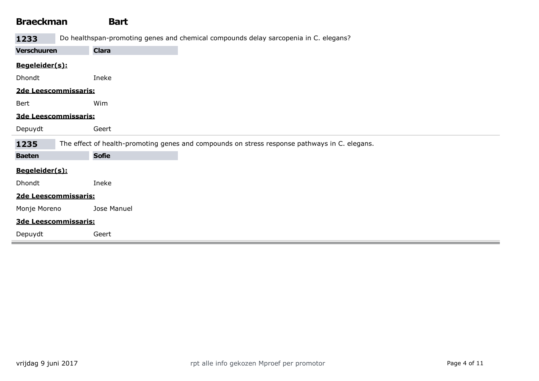## Braeckman Bart

1233 Do healthspan-promoting genes and chemical compounds delay sarcopenia in C. elegans?

| <b>Verschuuren</b>   | <b>Clara</b>                                                                                  |
|----------------------|-----------------------------------------------------------------------------------------------|
| Begeleider(s):       |                                                                                               |
| Dhondt               | Ineke                                                                                         |
| 2de Leescommissaris: |                                                                                               |
| Bert                 | Wim                                                                                           |
| 3de Leescommissaris: |                                                                                               |
| Depuydt              | Geert                                                                                         |
| 1235                 | The effect of health-promoting genes and compounds on stress response pathways in C. elegans. |
| <b>Baeten</b>        | <b>Sofie</b>                                                                                  |
| Begeleider(s):       |                                                                                               |
| Dhondt               | Ineke                                                                                         |
| 2de Leescommissaris: |                                                                                               |
| Monje Moreno         | Jose Manuel                                                                                   |
| 3de Leescommissaris: |                                                                                               |
| Depuydt              | Geert                                                                                         |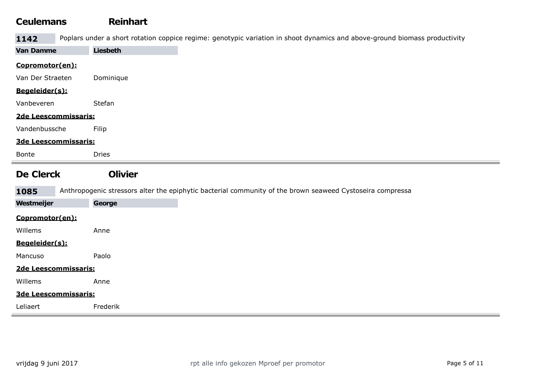## Ceulemans Reinhart 1142 Poplars under a short rotation coppice regime: genotypic variation in shoot dynamics and above-ground biomass productivity Van Damme Liesbeth Copromotor(en): Van Der Straeten Dominique Begeleider(s): Vanbeveren Stefan 2de Leescommissaris: Vandenbussche Filip 3de Leescommissaris: Bonte Dries De Clerck Olivier 1085 Anthropogenic stressors alter the epiphytic bacterial community of the brown seaweed Cystoseira compressa Westmeijer **George** Copromotor(en): Willems **Anne** Begeleider(s): Mancuso Paolo 2de Leescommissaris: Willems **Anne** 3de Leescommissaris: Leliaert Frederik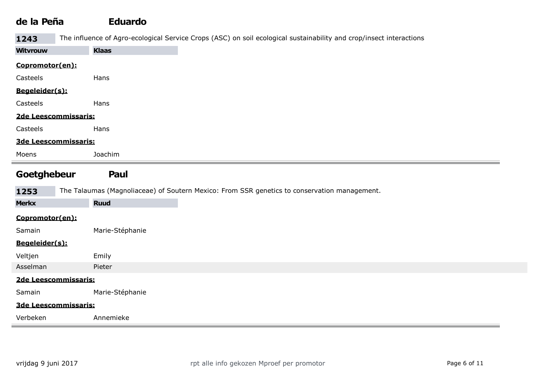## de la Peña Eduardo

1243 The influence of Agro-ecological Service Crops (ASC) on soil ecological sustainability and crop/insect interactions

| <b>Witvrouw</b> | <b>Klaas</b>                                                                                 |
|-----------------|----------------------------------------------------------------------------------------------|
| Copromotor(en): |                                                                                              |
| Casteels        | Hans                                                                                         |
| Begeleider(s):  |                                                                                              |
| Casteels        | Hans                                                                                         |
|                 | 2de Leescommissaris:                                                                         |
| Casteels        | Hans                                                                                         |
|                 | 3de Leescommissaris:                                                                         |
| Moens           | Joachim                                                                                      |
| Goetghebeur     | Paul                                                                                         |
| 1253            | The Talaumas (Magnoliaceae) of Soutern Mexico: From SSR genetics to conservation management. |
| <b>Merkx</b>    | <b>Ruud</b>                                                                                  |
| Copromotor(en): |                                                                                              |
| Samain          | Marie-Stéphanie                                                                              |
| Begeleider(s):  |                                                                                              |
| Veltjen         | Emily                                                                                        |
| Asselman        | Pieter                                                                                       |
|                 | 2de Leescommissaris:                                                                         |
| Samain          | Marie-Stéphanie                                                                              |
|                 | 3de Leescommissaris:                                                                         |
|                 |                                                                                              |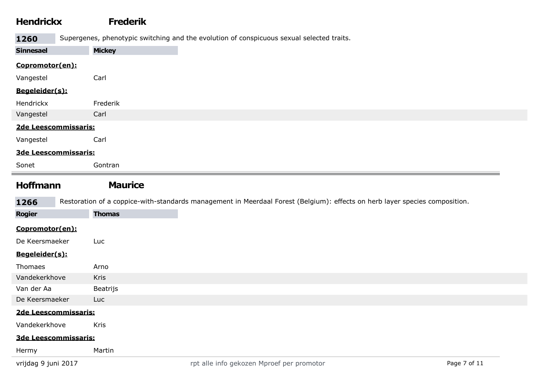### Hendrickx Frederik

1260 Supergenes, phenotypic switching and the evolution of conspicuous sexual selected traits.

| <b>Sinnesael</b>     | <b>Mickey</b> |
|----------------------|---------------|
| Copromotor(en):      |               |
| Vangestel            | Carl          |
| Begeleider(s):       |               |
| Hendrickx            | Frederik      |
| Vangestel            | Carl          |
| 2de Leescommissaris: |               |
| Vangestel            | Carl          |
| 3de Leescommissaris: |               |
| Sonet                | Gontran       |

#### Hoffmann Maurice

1266 Restoration of a coppice-with-standards management in Meerdaal Forest (Belgium): effects on herb layer species composition.

| <b>Rogier</b>        | <b>Thomas</b> |                                           |
|----------------------|---------------|-------------------------------------------|
| Copromotor(en):      |               |                                           |
| De Keersmaeker       | Luc           |                                           |
| Begeleider(s):       |               |                                           |
| Thomaes              | Arno          |                                           |
| Vandekerkhove        | <b>Kris</b>   |                                           |
| Van der Aa           | Beatrijs      |                                           |
| De Keersmaeker       | Luc           |                                           |
| 2de Leescommissaris: |               |                                           |
| Vandekerkhove        | <b>Kris</b>   |                                           |
| 3de Leescommissaris: |               |                                           |
| Hermy                | Martin        |                                           |
| vrijdag 9 juni 2017  |               | rpt alle info gekozen Mproef per promotor |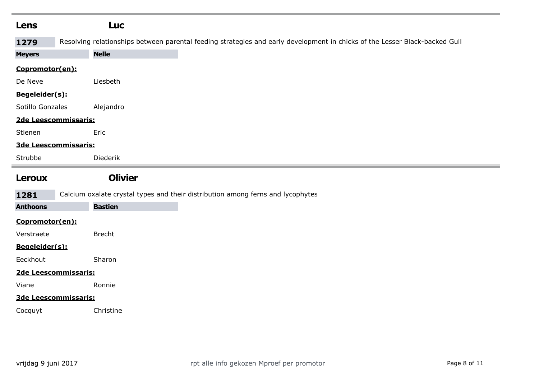| Lens             | <b>Luc</b>                                                                                                                  |
|------------------|-----------------------------------------------------------------------------------------------------------------------------|
| 1279             | Resolving relationships between parental feeding strategies and early development in chicks of the Lesser Black-backed Gull |
| <b>Meyers</b>    | <b>Nelle</b>                                                                                                                |
| Copromotor(en):  |                                                                                                                             |
| De Neve          | Liesbeth                                                                                                                    |
| Begeleider(s):   |                                                                                                                             |
| Sotillo Gonzales | Alejandro                                                                                                                   |
|                  | 2de Leescommissaris:                                                                                                        |
| Stienen          | Eric                                                                                                                        |
|                  | 3de Leescommissaris:                                                                                                        |
| Strubbe          | Diederik                                                                                                                    |
|                  |                                                                                                                             |
| Leroux           | <b>Olivier</b>                                                                                                              |
| 1281             | Calcium oxalate crystal types and their distribution among ferns and lycophytes                                             |
| <b>Anthoons</b>  | <b>Bastien</b>                                                                                                              |
| Copromotor(en):  |                                                                                                                             |
| Verstraete       | <b>Brecht</b>                                                                                                               |
| Begeleider(s):   |                                                                                                                             |
| Eeckhout         | Sharon                                                                                                                      |
|                  | 2de Leescommissaris:                                                                                                        |
| Viane            | Ronnie                                                                                                                      |
|                  | 3de Leescommissaris:                                                                                                        |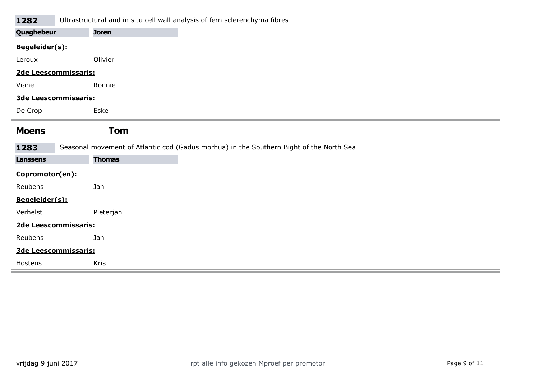#### 1282 Ultrastructural and in situ cell wall analysis of fern sclerenchyma fibres

| Quaghebeur      | <b>Joren</b>                                                                            |
|-----------------|-----------------------------------------------------------------------------------------|
| Begeleider(s):  |                                                                                         |
| Leroux          | Olivier                                                                                 |
|                 | 2de Leescommissaris:                                                                    |
| Viane           | Ronnie                                                                                  |
|                 | 3de Leescommissaris:                                                                    |
| De Crop         | Eske                                                                                    |
|                 |                                                                                         |
| <b>Moens</b>    | <b>Tom</b>                                                                              |
| 1283            | Seasonal movement of Atlantic cod (Gadus morhua) in the Southern Bight of the North Sea |
| <b>Lanssens</b> | <b>Thomas</b>                                                                           |
| Copromotor(en): |                                                                                         |
| Reubens         | Jan                                                                                     |
| Begeleider(s):  |                                                                                         |
| Verhelst        | Pieterjan                                                                               |
|                 | 2de Leescommissaris:                                                                    |
| Reubens         | Jan                                                                                     |
|                 | 3de Leescommissaris:                                                                    |
| Hostens         | Kris                                                                                    |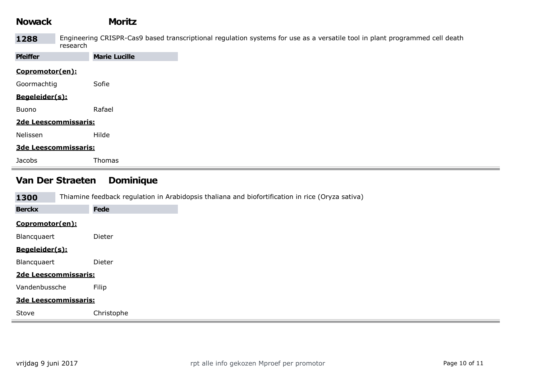| <b>Nowack</b>               | <b>Moritz</b>        |                                                                                                                             |
|-----------------------------|----------------------|-----------------------------------------------------------------------------------------------------------------------------|
| 1288                        | research             | Engineering CRISPR-Cas9 based transcriptional regulation systems for use as a versatile tool in plant programmed cell death |
| <b>Pfeiffer</b>             | <b>Marie Lucille</b> |                                                                                                                             |
| Copromotor(en):             |                      |                                                                                                                             |
| Goormachtig                 | Sofie                |                                                                                                                             |
| Begeleider(s):              |                      |                                                                                                                             |
| Buono                       | Rafael               |                                                                                                                             |
| 2de Leescommissaris:        |                      |                                                                                                                             |
| Nelissen                    | Hilde                |                                                                                                                             |
| <b>3de Leescommissaris:</b> |                      |                                                                                                                             |
| Jacobs                      | Thomas               |                                                                                                                             |

## Van Der Straeten Dominique

| 1300            | Thiamine feedback regulation in Arabidopsis thaliana and biofortification in rice (Oryza sativa) |
|-----------------|--------------------------------------------------------------------------------------------------|
| <b>Berckx</b>   | <b>Fede</b>                                                                                      |
| Copromotor(en): |                                                                                                  |
| Blancquaert     | Dieter                                                                                           |
| Begeleider(s):  |                                                                                                  |
| Blancquaert     | Dieter                                                                                           |
|                 | 2de Leescommissaris:                                                                             |
| Vandenbussche   | Filip                                                                                            |
|                 | 3de Leescommissaris:                                                                             |
| Stove           | Christophe                                                                                       |